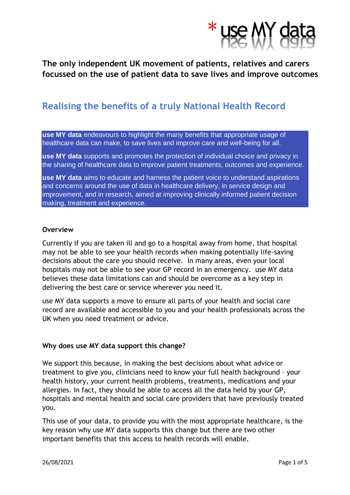

**The only independent UK movement of patients, relatives and carers focussed on the use of patient data to save lives and improve outcomes**

# **Realising the benefits of a truly National Health Record**

**use MY data** endeavours to highlight the many benefits that appropriate usage of healthcare data can make, to save lives and improve care and well-being for all.

**use MY data** supports and promotes the protection of individual choice and privacy in the sharing of healthcare data to improve patient treatments, outcomes and experience.

**use MY data** aims to educate and harness the patient voice to understand aspirations and concerns around the use of data in healthcare delivery, in service design and improvement, and in research, aimed at improving clinically informed patient decision making, treatment and experience.

#### **Overview**

Currently if you are taken ill and go to a hospital away from home, that hospital may not be able to see your health records when making potentially life-saving decisions about the care you should receive. In many areas, even your local hospitals may not be able to see your GP record in an emergency. use MY data believes these data limitations can and should be overcome as a key step in delivering the best care or service wherever you need it.

use MY data supports a move to ensure all parts of your health and social care record are available and accessible to you and your health professionals across the UK when you need treatment or advice.

## **Why does use MY data support this change?**

We support this because, in making the best decisions about what advice or treatment to give you, clinicians need to know your full health background – your health history, your current health problems, treatments, medications and your allergies. In fact, they should be able to access all the data held by your GP, hospitals and mental health and social care providers that have previously treated you.

This use of your data, to provide you with the most appropriate healthcare, is the key reason why use MY data supports this change but there are two other important benefits that this access to health records will enable.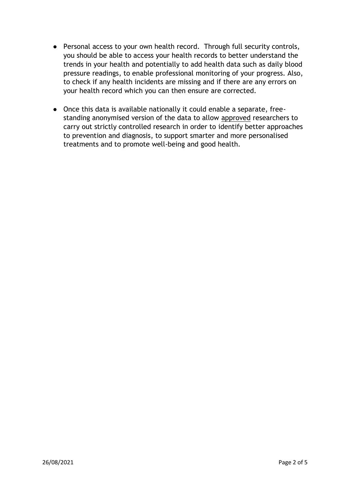- Personal access to your own health record. Through full security controls, you should be able to access your health records to better understand the trends in your health and potentially to add health data such as daily blood pressure readings, to enable professional monitoring of your progress. Also, to check if any health incidents are missing and if there are any errors on your health record which you can then ensure are corrected.
- Once this data is available nationally it could enable a separate, freestanding anonymised version of the data to allow approved researchers to carry out strictly controlled research in order to identify better approaches to prevention and diagnosis, to support smarter and more personalised treatments and to promote well-being and good health.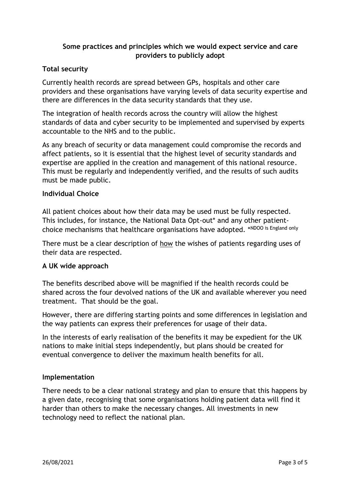# **Some practices and principles which we would expect service and care providers to publicly adopt**

# **Total security**

Currently health records are spread between GPs, hospitals and other care providers and these organisations have varying levels of data security expertise and there are differences in the data security standards that they use.

The integration of health records across the country will allow the highest standards of data and cyber security to be implemented and supervised by experts accountable to the NHS and to the public.

As any breach of security or data management could compromise the records and affect patients, so it is essential that the highest level of security standards and expertise are applied in the creation and management of this national resource. This must be regularly and independently verified, and the results of such audits must be made public.

## **Individual Choice**

All patient choices about how their data may be used must be fully respected. This includes, for instance, the National Data Opt-out\* and any other patientchoice mechanisms that healthcare organisations have adopted. \*NDOO is England only

There must be a clear description of how the wishes of patients regarding uses of their data are respected.

## **A UK wide approach**

The benefits described above will be magnified if the health records could be shared across the four devolved nations of the UK and available wherever you need treatment. That should be the goal.

However, there are differing starting points and some differences in legislation and the way patients can express their preferences for usage of their data.

In the interests of early realisation of the benefits it may be expedient for the UK nations to make initial steps independently, but plans should be created for eventual convergence to deliver the maximum health benefits for all.

## **Implementation**

There needs to be a clear national strategy and plan to ensure that this happens by a given date, recognising that some organisations holding patient data will find it harder than others to make the necessary changes. All investments in new technology need to reflect the national plan.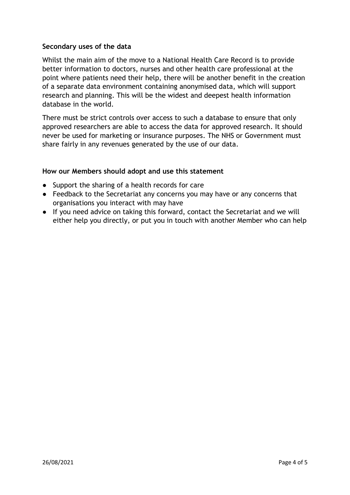## **Secondary uses of the data**

Whilst the main aim of the move to a National Health Care Record is to provide better information to doctors, nurses and other health care professional at the point where patients need their help, there will be another benefit in the creation of a separate data environment containing anonymised data, which will support research and planning. This will be the widest and deepest health information database in the world.

There must be strict controls over access to such a database to ensure that only approved researchers are able to access the data for approved research. It should never be used for marketing or insurance purposes. The NHS or Government must share fairly in any revenues generated by the use of our data.

## **How our Members should adopt and use this statement**

- Support the sharing of a health records for care
- Feedback to the Secretariat any concerns you may have or any concerns that organisations you interact with may have
- If you need advice on taking this forward, contact the Secretariat and we will either help you directly, or put you in touch with another Member who can help